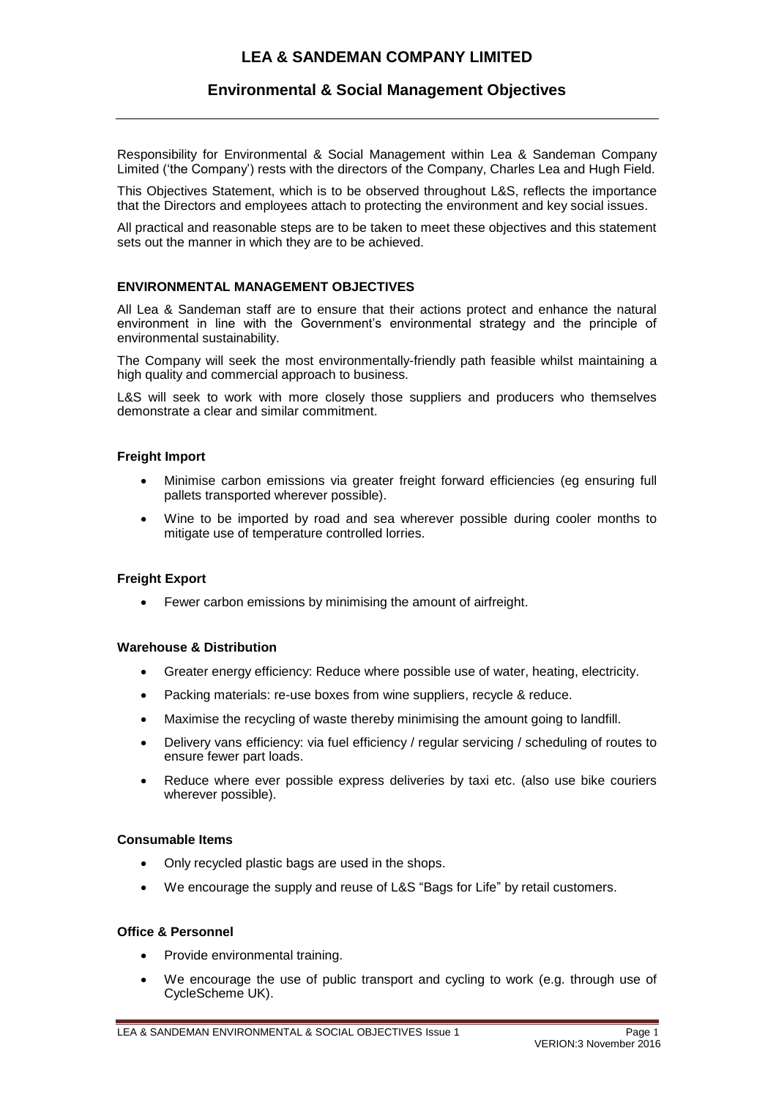# **LEA & SANDEMAN COMPANY LIMITED**

## **Environmental & Social Management Objectives**

Responsibility for Environmental & Social Management within Lea & Sandeman Company Limited ('the Company') rests with the directors of the Company, Charles Lea and Hugh Field.

This Objectives Statement, which is to be observed throughout L&S, reflects the importance that the Directors and employees attach to protecting the environment and key social issues.

All practical and reasonable steps are to be taken to meet these objectives and this statement sets out the manner in which they are to be achieved.

#### **ENVIRONMENTAL MANAGEMENT OBJECTIVES**

All Lea & Sandeman staff are to ensure that their actions protect and enhance the natural environment in line with the Government's environmental strategy and the principle of environmental sustainability.

The Company will seek the most environmentally-friendly path feasible whilst maintaining a high quality and commercial approach to business.

L&S will seek to work with more closely those suppliers and producers who themselves demonstrate a clear and similar commitment.

#### **Freight Import**

- Minimise carbon emissions via greater freight forward efficiencies (eg ensuring full pallets transported wherever possible).
- Wine to be imported by road and sea wherever possible during cooler months to mitigate use of temperature controlled lorries.

#### **Freight Export**

• Fewer carbon emissions by minimising the amount of airfreight.

#### **Warehouse & Distribution**

- Greater energy efficiency: Reduce where possible use of water, heating, electricity.
- Packing materials: re-use boxes from wine suppliers, recycle & reduce.
- Maximise the recycling of waste thereby minimising the amount going to landfill.
- Delivery vans efficiency: via fuel efficiency / regular servicing / scheduling of routes to ensure fewer part loads.
- Reduce where ever possible express deliveries by taxi etc. (also use bike couriers wherever possible).

#### **Consumable Items**

- Only recycled plastic bags are used in the shops.
- We encourage the supply and reuse of L&S "Bags for Life" by retail customers.

### **Office & Personnel**

- Provide environmental training.
- We encourage the use of public transport and cycling to work (e.g. through use of CycleScheme UK).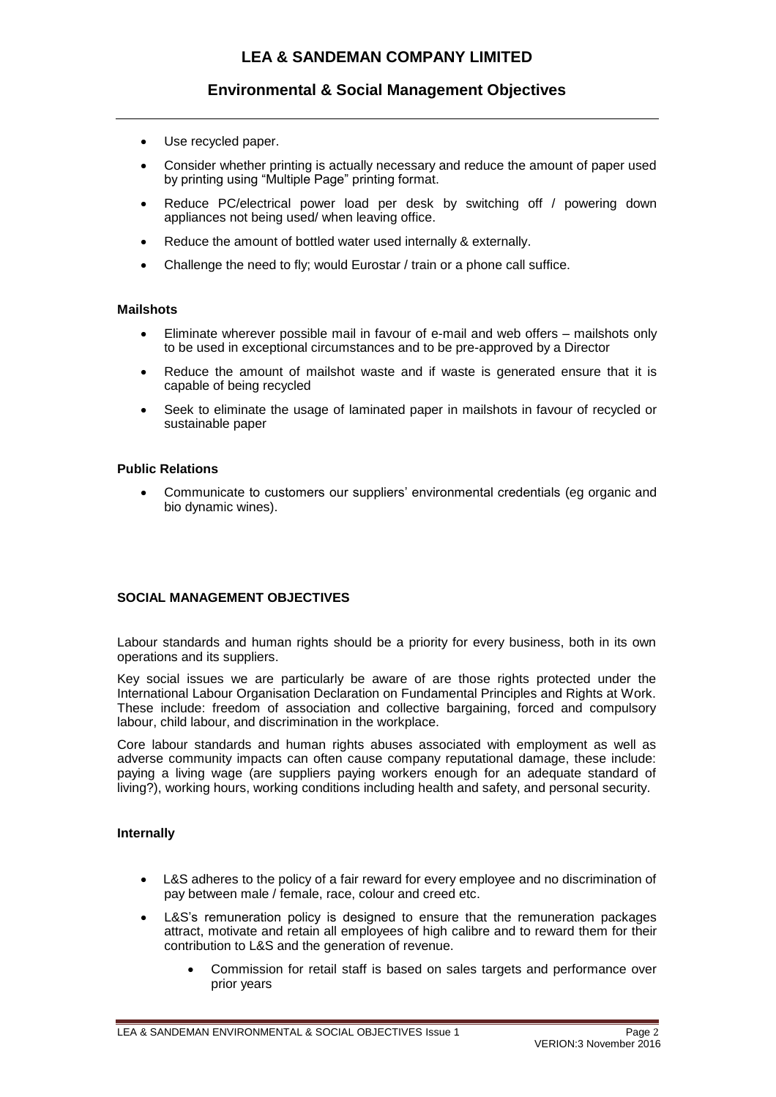# **Environmental & Social Management Objectives**

- Use recycled paper.
- Consider whether printing is actually necessary and reduce the amount of paper used by printing using "Multiple Page" printing format.
- Reduce PC/electrical power load per desk by switching off / powering down appliances not being used/ when leaving office.
- Reduce the amount of bottled water used internally & externally.
- Challenge the need to fly; would Eurostar / train or a phone call suffice.

#### **Mailshots**

- Eliminate wherever possible mail in favour of e-mail and web offers mailshots only to be used in exceptional circumstances and to be pre-approved by a Director
- Reduce the amount of mailshot waste and if waste is generated ensure that it is capable of being recycled
- Seek to eliminate the usage of laminated paper in mailshots in favour of recycled or sustainable paper

#### **Public Relations**

• Communicate to customers our suppliers' environmental credentials (eg organic and bio dynamic wines).

## **SOCIAL MANAGEMENT OBJECTIVES**

Labour standards and human rights should be a priority for every business, both in its own operations and its suppliers.

Key social issues we are particularly be aware of are those rights protected under the International Labour Organisation Declaration on Fundamental Principles and Rights at Work. These include: freedom of association and collective bargaining, forced and compulsory labour, child labour, and discrimination in the workplace.

Core labour standards and human rights abuses associated with employment as well as adverse community impacts can often cause company reputational damage, these include: paying a living wage (are suppliers paying workers enough for an adequate standard of living?), working hours, working conditions including health and safety, and personal security.

#### **Internally**

- L&S adheres to the policy of a fair reward for every employee and no discrimination of pay between male / female, race, colour and creed etc.
- L&S's remuneration policy is designed to ensure that the remuneration packages attract, motivate and retain all employees of high calibre and to reward them for their contribution to L&S and the generation of revenue.
	- Commission for retail staff is based on sales targets and performance over prior years